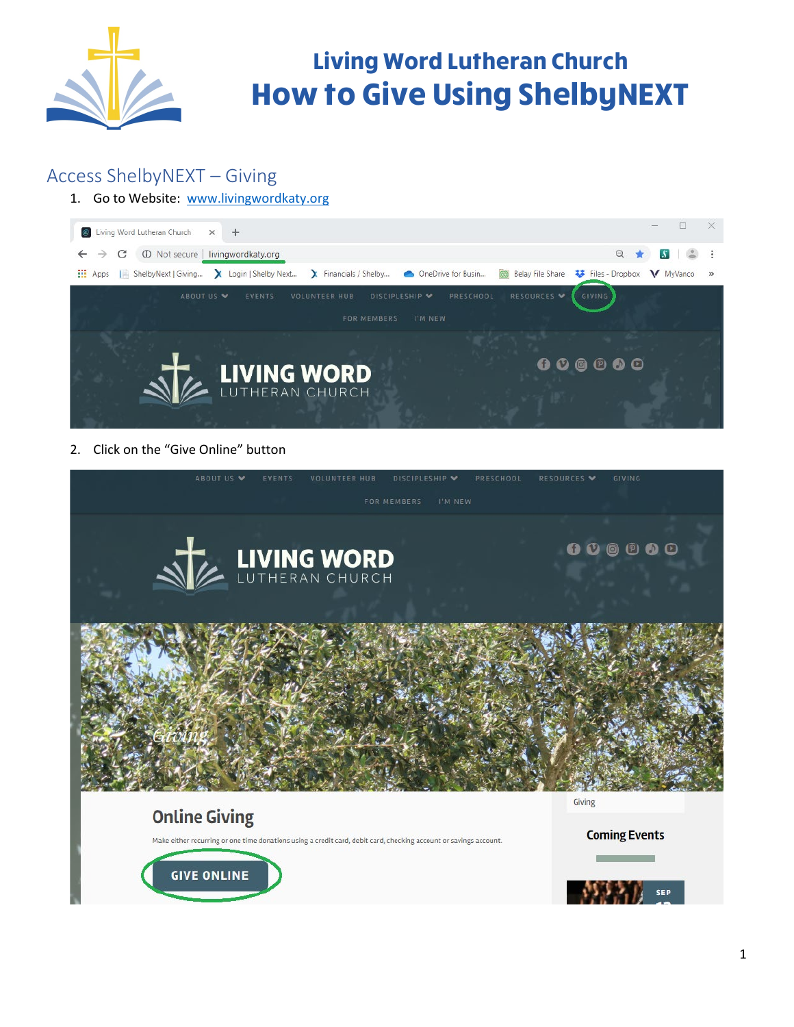

#### Access ShelbyNEXT – Giving

#### 1. Go to Website: [www.livingwordkaty.org](http://www.livingwordkaty.org/)



2. Click on the "Give Online" button





**SEP**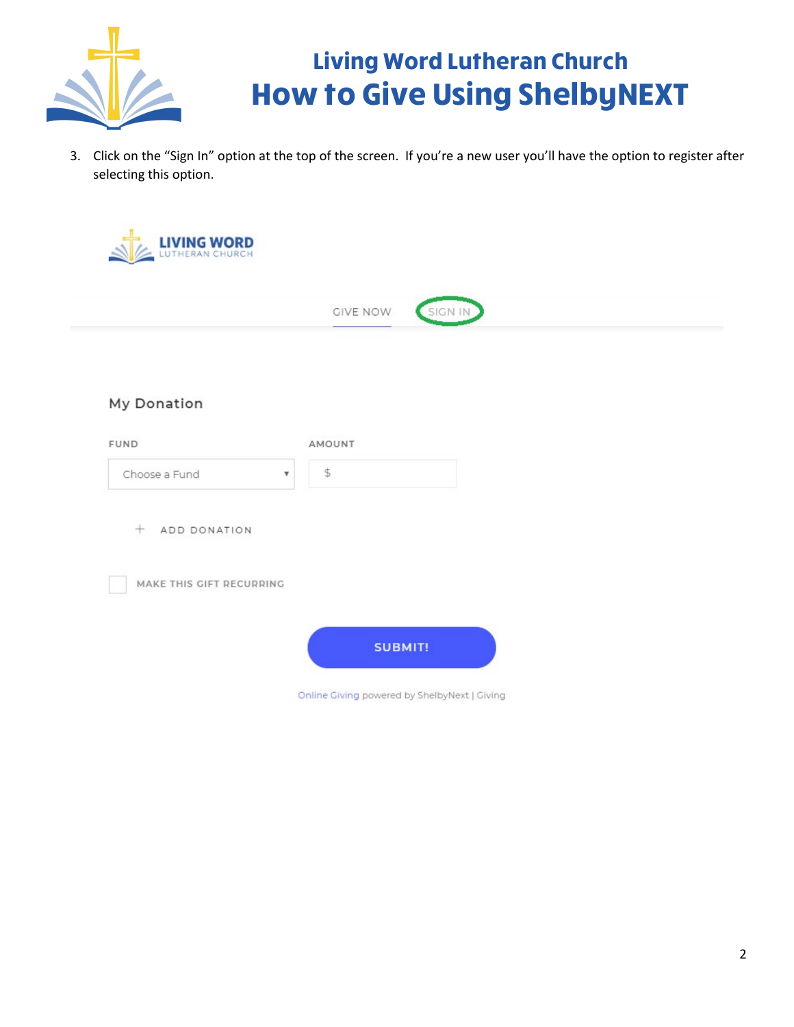

3. Click on the "Sign In" option at the top of the screen. If you're a new user you'll have the option to register after selecting this option.

|                                            | GIVE NOW     | SIGN IN |  |
|--------------------------------------------|--------------|---------|--|
| My Donation                                |              |         |  |
| FUND                                       | AMOUNT       |         |  |
| Choose a Fund<br>$\boldsymbol{\mathrm{v}}$ | $\spadesuit$ |         |  |
| ADD DONATION<br>$^{+}$                     |              |         |  |
| MAKE THIS GIFT RECURRING                   |              |         |  |
|                                            |              |         |  |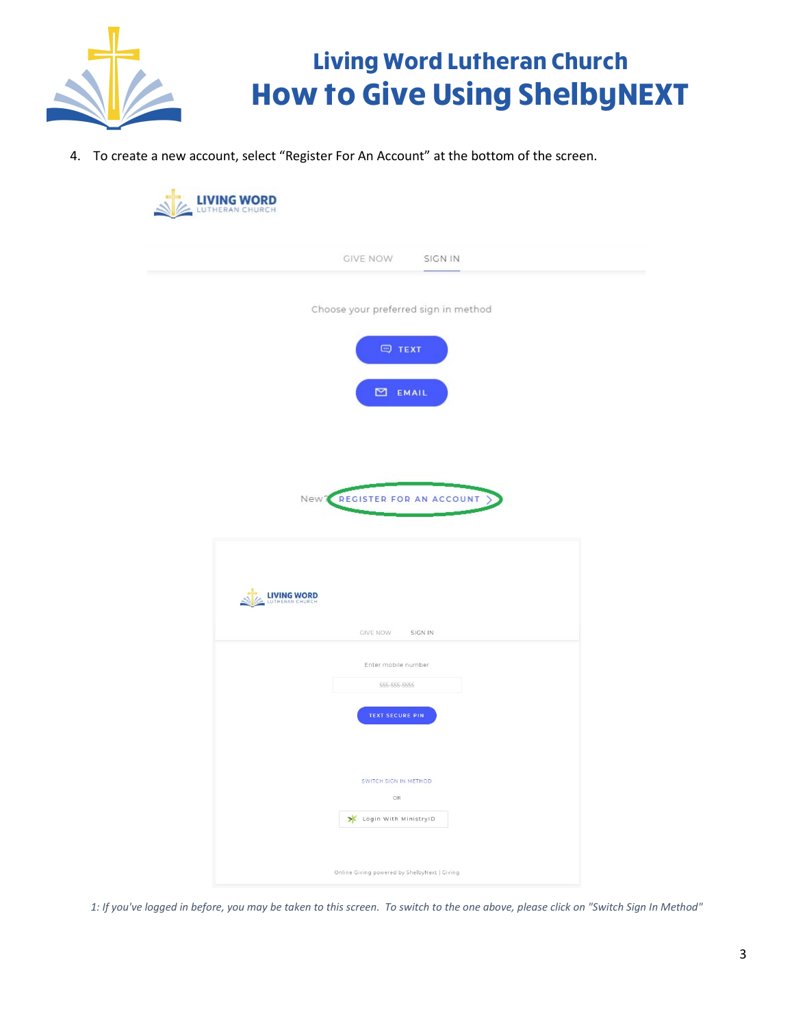

4. To create a new account, select "Register For An Account" at the bottom of the screen.

| GIVE NOW SIGN IN                                           |  |
|------------------------------------------------------------|--|
| Choose your preferred sign in method                       |  |
| $\qquad \qquad \qquad \qquad \quad \  \  \, \mathsf{TEXT}$ |  |
| $\Xi$ EMAIL                                                |  |
|                                                            |  |
|                                                            |  |
| New REGISTER FOR AN ACCOUNT                                |  |
|                                                            |  |
|                                                            |  |
|                                                            |  |
| LIVING WORD                                                |  |
| GIVE NOW SIGN IN                                           |  |
| Enter mobile number                                        |  |
| 555-555-5555                                               |  |
| <b>TEXT SECURE PIN</b>                                     |  |
|                                                            |  |
| SWITCH SIGN IN METHOD<br>OR                                |  |

*1: If you've logged in before, you may be taken to this screen. To switch to the one above, please click on "Switch Sign In Method"*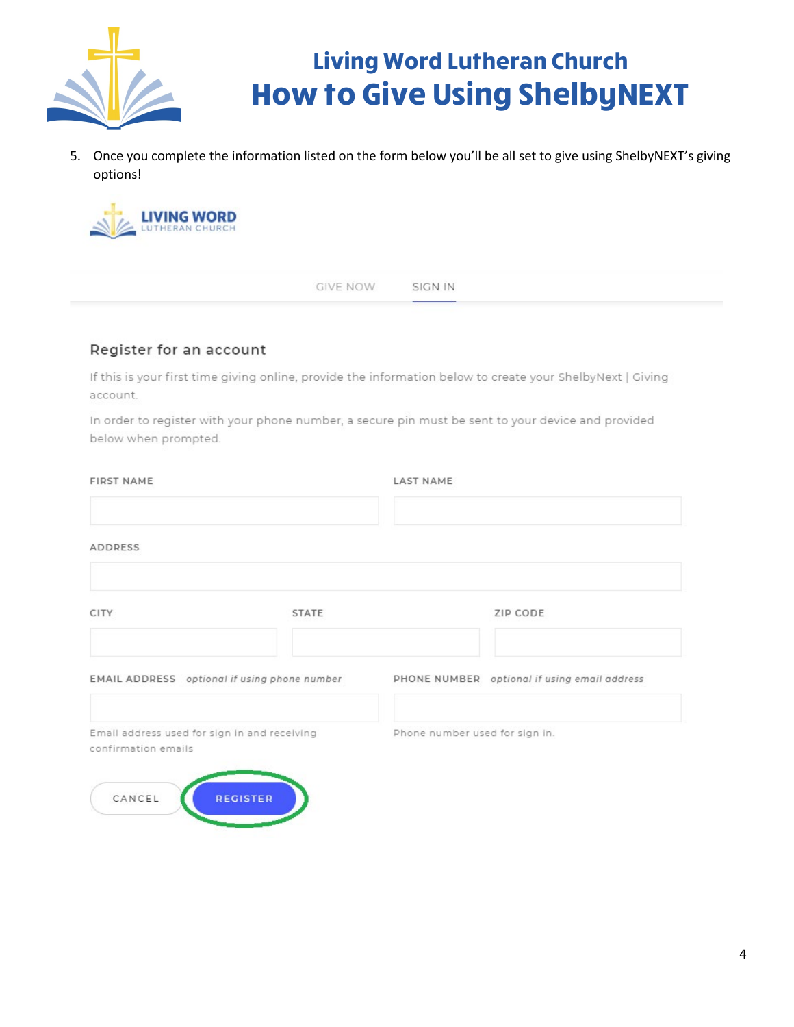

5. Once you complete the information listed on the form below you'll be all set to give using ShelbyNEXT's giving options!



**GIVE NOW** SIGN IN

#### Register for an account

If this is your first time giving online, provide the information below to create your ShelbyNext | Giving account.

In order to register with your phone number, a secure pin must be sent to your device and provided below when prompted.

| <b>FIRST NAME</b> |                                                                                                                 |                                              |
|-------------------|-----------------------------------------------------------------------------------------------------------------|----------------------------------------------|
|                   |                                                                                                                 |                                              |
| <b>STATE</b>      |                                                                                                                 | ZIP CODE                                     |
|                   |                                                                                                                 | PHONE NUMBER optional if using email address |
|                   | Phone number used for sign in.                                                                                  |                                              |
|                   |                                                                                                                 |                                              |
|                   | EMAIL ADDRESS optional if using phone number<br>Email address used for sign in and receiving<br><b>REGISTER</b> | <b>LAST NAME</b>                             |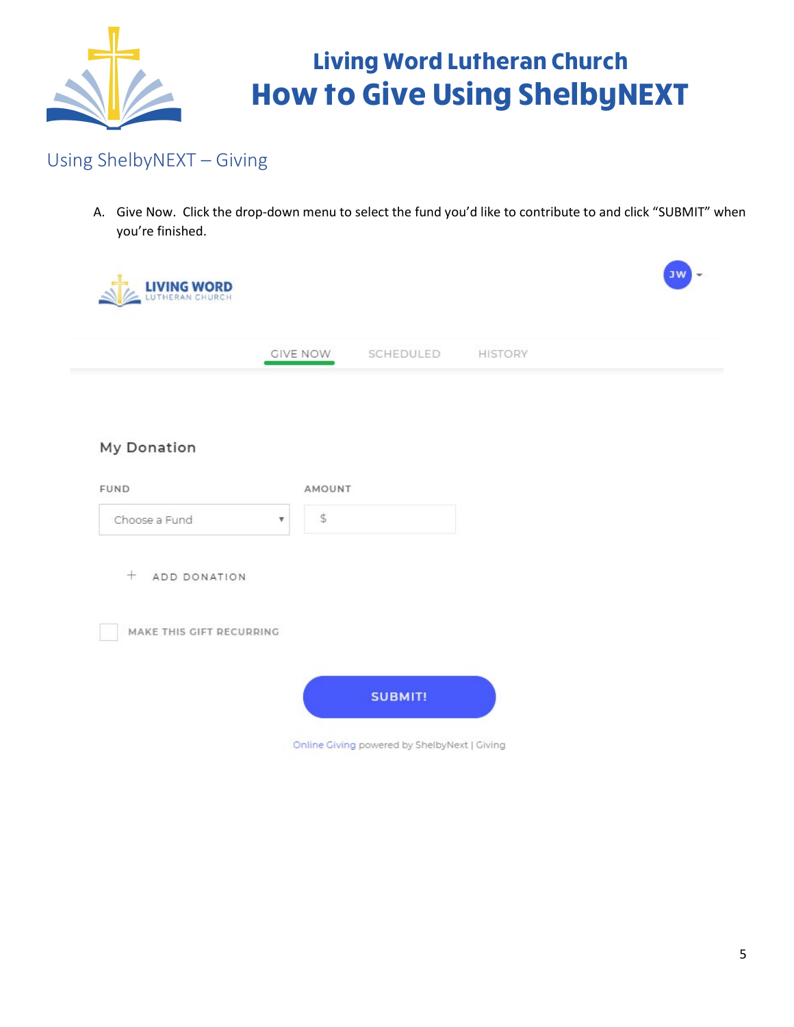

#### Using ShelbyNEXT – Giving

A. Give Now. Click the drop-down menu to select the fund you'd like to contribute to and click "SUBMIT" when you're finished.

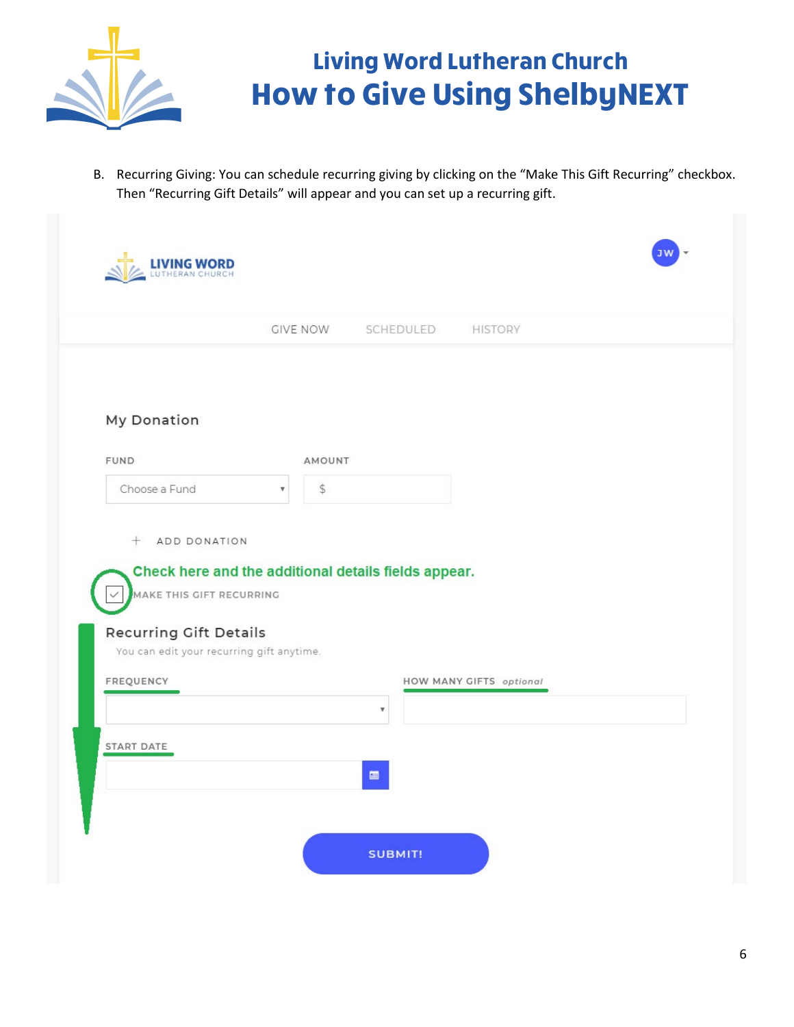

B. Recurring Giving: You can schedule recurring giving by clicking on the "Make This Gift Recurring" checkbox. Then "Recurring Gift Details" will appear and you can set up a recurring gift.

|                                                                            | <b>GIVE NOW</b>                                                      | SCHEDULED<br><b>HISTORY</b>    |
|----------------------------------------------------------------------------|----------------------------------------------------------------------|--------------------------------|
| My Donation                                                                |                                                                      |                                |
| <b>FUND</b>                                                                | AMOUNT                                                               |                                |
| Choose a Fund                                                              | $\mathbb{S}$<br>$\overline{\mathbf{v}}$                              |                                |
| $+$<br>MAKE THIS GIFT RECURRING                                            | ADD DONATION<br>Check here and the additional details fields appear. |                                |
| <b>Recurring Gift Details</b><br>You can edit your recurring gift anytime. |                                                                      |                                |
| FREQUENCY                                                                  | $\overline{\mathbf{v}}$                                              | <b>HOW MANY GIFTS</b> optional |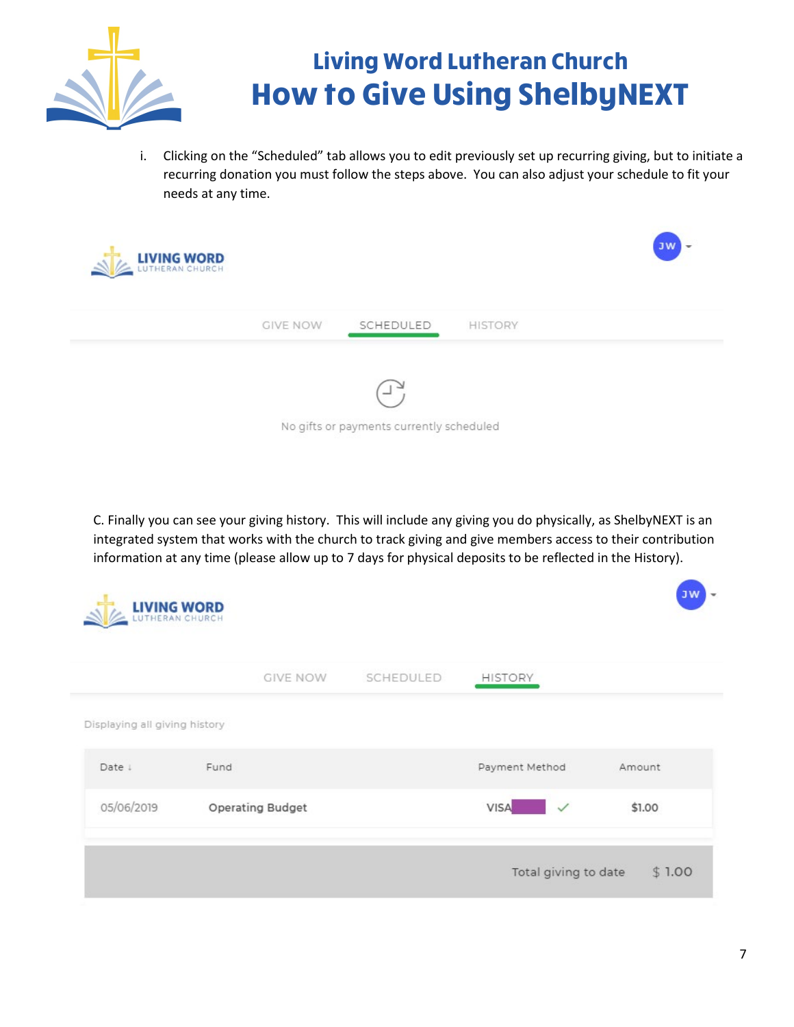

i. Clicking on the "Scheduled" tab allows you to edit previously set up recurring giving, but to initiate a recurring donation you must follow the steps above. You can also adjust your schedule to fit your needs at any time.



C. Finally you can see your giving history. This will include any giving you do physically, as ShelbyNEXT is an integrated system that works with the church to track giving and give members access to their contribution information at any time (please allow up to 7 days for physical deposits to be reflected in the History).

| LIVING WORD                   |                         |           |                             | <b>JW</b><br>$\overline{\phantom{a}}$ |
|-------------------------------|-------------------------|-----------|-----------------------------|---------------------------------------|
|                               | <b>GIVE NOW</b>         | SCHEDULED | <b>HISTORY</b>              |                                       |
| Displaying all giving history |                         |           |                             |                                       |
| Date !                        | Fund                    |           | Payment Method              | Amount                                |
| 05/06/2019                    | <b>Operating Budget</b> |           | <b>VISA</b><br>$\checkmark$ | \$1.00                                |
|                               |                         |           | Total giving to date        | \$1.00                                |